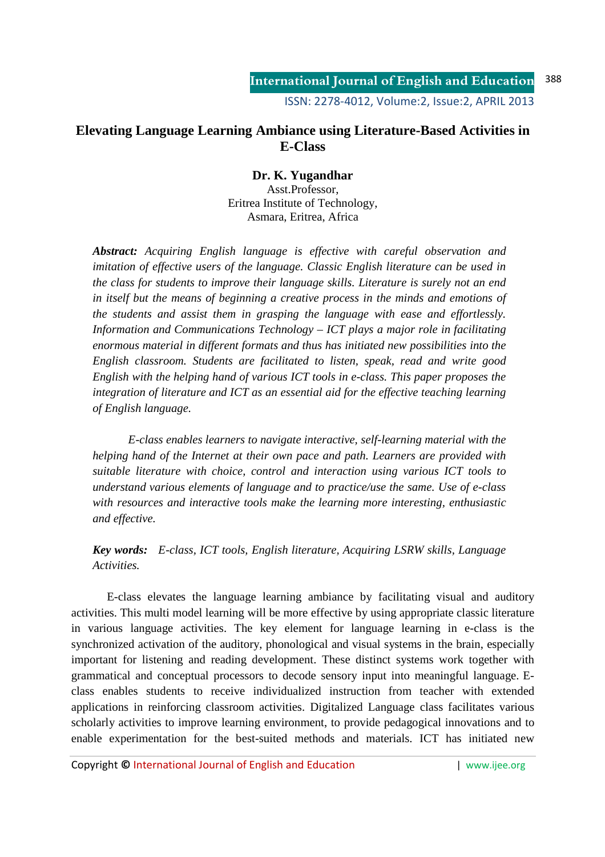# **Elevating Language Learning Ambiance using Literature-Based Activities in E-Class**

**Dr. K. Yugandhar**  Asst.Professor, Eritrea Institute of Technology, Asmara, Eritrea, Africa

*Abstract: Acquiring English language is effective with careful observation and imitation of effective users of the language. Classic English literature can be used in the class for students to improve their language skills. Literature is surely not an end in itself but the means of beginning a creative process in the minds and emotions of the students and assist them in grasping the language with ease and effortlessly. Information and Communications Technology – ICT plays a major role in facilitating enormous material in different formats and thus has initiated new possibilities into the English classroom. Students are facilitated to listen, speak, read and write good English with the helping hand of various ICT tools in e-class. This paper proposes the*  integration of literature and ICT as an essential aid for the effective teaching learning *of English language.* 

*E-class enables learners to navigate interactive, self-learning material with the helping hand of the Internet at their own pace and path. Learners are provided with suitable literature with choice, control and interaction using various ICT tools to understand various elements of language and to practice/use the same. Use of e-class with resources and interactive tools make the learning more interesting, enthusiastic and effective.* 

*Key words: E-class, ICT tools, English literature, Acquiring LSRW skills, Language Activities.* 

E-class elevates the language learning ambiance by facilitating visual and auditory activities. This multi model learning will be more effective by using appropriate classic literature in various language activities. The key element for language learning in e-class is the synchronized activation of the auditory, phonological and visual systems in the brain, especially important for listening and reading development. These distinct systems work together with grammatical and conceptual processors to decode sensory input into meaningful language. Eclass enables students to receive individualized instruction from teacher with extended applications in reinforcing classroom activities. Digitalized Language class facilitates various scholarly activities to improve learning environment, to provide pedagogical innovations and to enable experimentation for the best-suited methods and materials. ICT has initiated new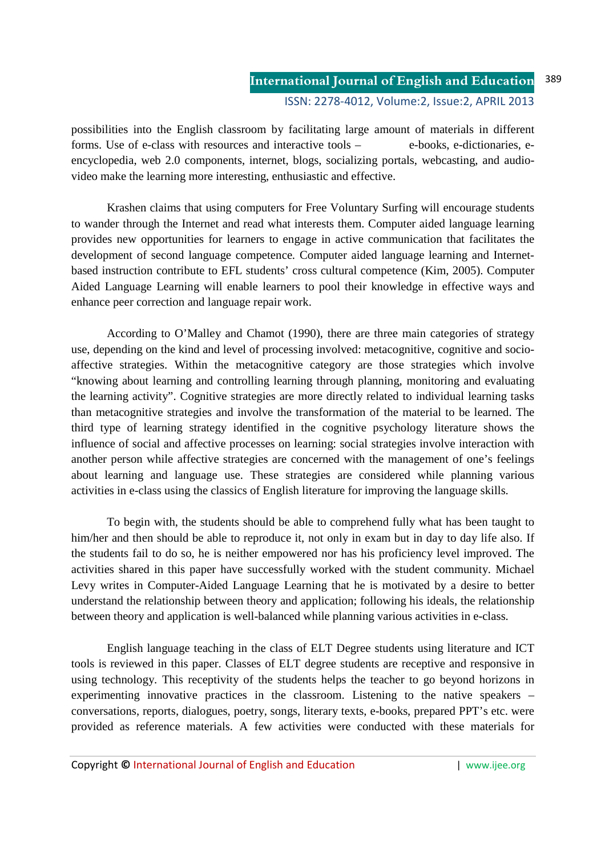#### **International Journal of English and Education** ISSN: 2278-4012, Volume:2, Issue:2, APRIL 2013 389

possibilities into the English classroom by facilitating large amount of materials in different forms. Use of e-class with resources and interactive tools – e-books, e-dictionaries, eencyclopedia, web 2.0 components, internet, blogs, socializing portals, webcasting, and audiovideo make the learning more interesting, enthusiastic and effective.

 Krashen claims that using computers for Free Voluntary Surfing will encourage students to wander through the Internet and read what interests them. Computer aided language learning provides new opportunities for learners to engage in active communication that facilitates the development of second language competence. Computer aided language learning and Internetbased instruction contribute to EFL students' cross cultural competence (Kim, 2005). Computer Aided Language Learning will enable learners to pool their knowledge in effective ways and enhance peer correction and language repair work.

According to O'Malley and Chamot (1990), there are three main categories of strategy use, depending on the kind and level of processing involved: metacognitive, cognitive and socioaffective strategies. Within the metacognitive category are those strategies which involve "knowing about learning and controlling learning through planning, monitoring and evaluating the learning activity". Cognitive strategies are more directly related to individual learning tasks than metacognitive strategies and involve the transformation of the material to be learned. The third type of learning strategy identified in the cognitive psychology literature shows the influence of social and affective processes on learning: social strategies involve interaction with another person while affective strategies are concerned with the management of one's feelings about learning and language use. These strategies are considered while planning various activities in e-class using the classics of English literature for improving the language skills.

To begin with, the students should be able to comprehend fully what has been taught to him/her and then should be able to reproduce it, not only in exam but in day to day life also. If the students fail to do so, he is neither empowered nor has his proficiency level improved. The activities shared in this paper have successfully worked with the student community. Michael Levy writes in Computer-Aided Language Learning that he is motivated by a desire to better understand the relationship between theory and application; following his ideals, the relationship between theory and application is well-balanced while planning various activities in e-class.

English language teaching in the class of ELT Degree students using literature and ICT tools is reviewed in this paper. Classes of ELT degree students are receptive and responsive in using technology. This receptivity of the students helps the teacher to go beyond horizons in experimenting innovative practices in the classroom. Listening to the native speakers – conversations, reports, dialogues, poetry, songs, literary texts, e-books, prepared PPT's etc. were provided as reference materials. A few activities were conducted with these materials for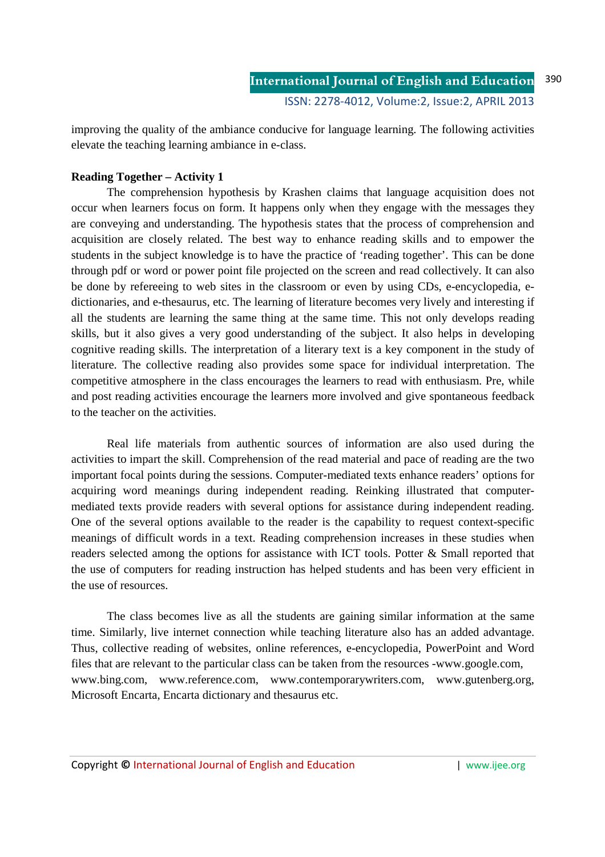improving the quality of the ambiance conducive for language learning. The following activities elevate the teaching learning ambiance in e-class.

## **Reading Together – Activity 1**

The comprehension hypothesis by Krashen claims that language acquisition does not occur when learners focus on form. It happens only when they engage with the messages they are conveying and understanding. The hypothesis states that the process of comprehension and acquisition are closely related. The best way to enhance reading skills and to empower the students in the subject knowledge is to have the practice of 'reading together'. This can be done through pdf or word or power point file projected on the screen and read collectively. It can also be done by refereeing to web sites in the classroom or even by using CDs, e-encyclopedia, edictionaries, and e-thesaurus, etc. The learning of literature becomes very lively and interesting if all the students are learning the same thing at the same time. This not only develops reading skills, but it also gives a very good understanding of the subject. It also helps in developing cognitive reading skills. The interpretation of a literary text is a key component in the study of literature. The collective reading also provides some space for individual interpretation. The competitive atmosphere in the class encourages the learners to read with enthusiasm. Pre, while and post reading activities encourage the learners more involved and give spontaneous feedback to the teacher on the activities.

Real life materials from authentic sources of information are also used during the activities to impart the skill. Comprehension of the read material and pace of reading are the two important focal points during the sessions. Computer-mediated texts enhance readers' options for acquiring word meanings during independent reading. Reinking illustrated that computermediated texts provide readers with several options for assistance during independent reading. One of the several options available to the reader is the capability to request context-specific meanings of difficult words in a text. Reading comprehension increases in these studies when readers selected among the options for assistance with ICT tools. Potter & Small reported that the use of computers for reading instruction has helped students and has been very efficient in the use of resources.

The class becomes live as all the students are gaining similar information at the same time. Similarly, live internet connection while teaching literature also has an added advantage. Thus, collective reading of websites, online references, e-encyclopedia, PowerPoint and Word files that are relevant to the particular class can be taken from the resources -www.google.com, www.bing.com, www.reference.com, www.contemporarywriters.com, www.gutenberg.org, Microsoft Encarta, Encarta dictionary and thesaurus etc.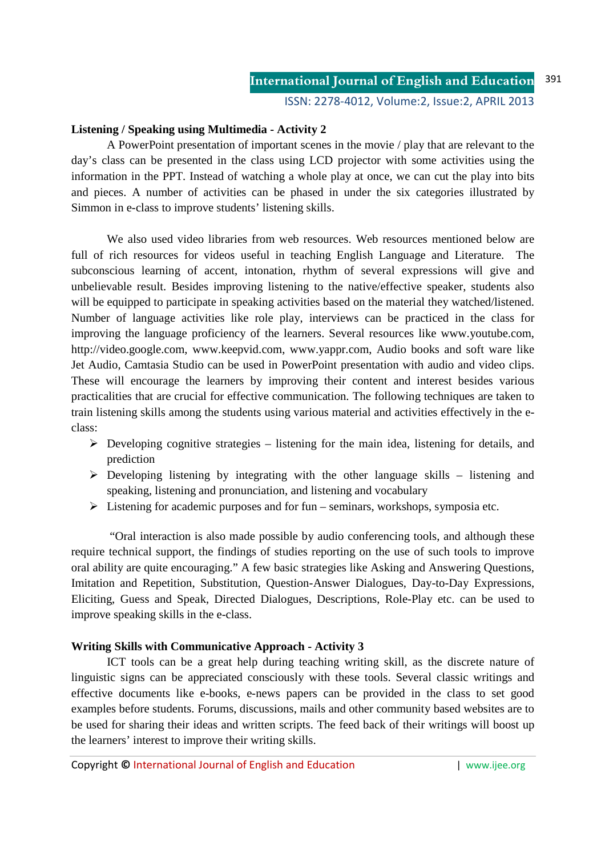ISSN: 2278-4012, Volume:2, Issue:2, APRIL 2013

## **Listening / Speaking using Multimedia - Activity 2**

A PowerPoint presentation of important scenes in the movie / play that are relevant to the day's class can be presented in the class using LCD projector with some activities using the information in the PPT. Instead of watching a whole play at once, we can cut the play into bits and pieces. A number of activities can be phased in under the six categories illustrated by Simmon in e-class to improve students' listening skills.

We also used video libraries from web resources. Web resources mentioned below are full of rich resources for videos useful in teaching English Language and Literature. The subconscious learning of accent, intonation, rhythm of several expressions will give and unbelievable result. Besides improving listening to the native/effective speaker, students also will be equipped to participate in speaking activities based on the material they watched/listened. Number of language activities like role play, interviews can be practiced in the class for improving the language proficiency of the learners. Several resources like www.youtube.com, http://video.google.com, www.keepvid.com, www.yappr.com, Audio books and soft ware like Jet Audio, Camtasia Studio can be used in PowerPoint presentation with audio and video clips. These will encourage the learners by improving their content and interest besides various practicalities that are crucial for effective communication. The following techniques are taken to train listening skills among the students using various material and activities effectively in the eclass:

- $\triangleright$  Developing cognitive strategies listening for the main idea, listening for details, and prediction
- $\triangleright$  Developing listening by integrating with the other language skills listening and speaking, listening and pronunciation, and listening and vocabulary
- $\triangleright$  Listening for academic purposes and for fun seminars, workshops, symposia etc.

 "Oral interaction is also made possible by audio conferencing tools, and although these require technical support, the findings of studies reporting on the use of such tools to improve oral ability are quite encouraging." A few basic strategies like Asking and Answering Questions, Imitation and Repetition, Substitution, Question-Answer Dialogues, Day-to-Day Expressions, Eliciting, Guess and Speak, Directed Dialogues, Descriptions, Role-Play etc. can be used to improve speaking skills in the e-class.

## **Writing Skills with Communicative Approach - Activity 3**

ICT tools can be a great help during teaching writing skill, as the discrete nature of linguistic signs can be appreciated consciously with these tools. Several classic writings and effective documents like e-books, e-news papers can be provided in the class to set good examples before students. Forums, discussions, mails and other community based websites are to be used for sharing their ideas and written scripts. The feed back of their writings will boost up the learners' interest to improve their writing skills.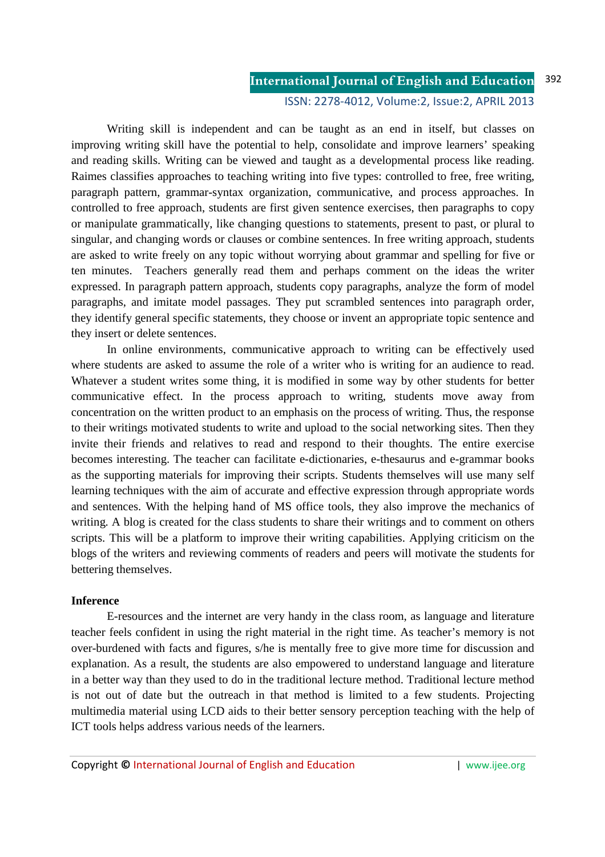#### **International Journal of English and Education** ISSN: 2278-4012, Volume:2, Issue:2, APRIL 2013 392

Writing skill is independent and can be taught as an end in itself, but classes on improving writing skill have the potential to help, consolidate and improve learners' speaking and reading skills. Writing can be viewed and taught as a developmental process like reading. Raimes classifies approaches to teaching writing into five types: controlled to free, free writing, paragraph pattern, grammar-syntax organization, communicative, and process approaches. In controlled to free approach, students are first given sentence exercises, then paragraphs to copy or manipulate grammatically, like changing questions to statements, present to past, or plural to singular, and changing words or clauses or combine sentences. In free writing approach, students are asked to write freely on any topic without worrying about grammar and spelling for five or ten minutes. Teachers generally read them and perhaps comment on the ideas the writer expressed. In paragraph pattern approach, students copy paragraphs, analyze the form of model paragraphs, and imitate model passages. They put scrambled sentences into paragraph order, they identify general specific statements, they choose or invent an appropriate topic sentence and they insert or delete sentences.

In online environments, communicative approach to writing can be effectively used where students are asked to assume the role of a writer who is writing for an audience to read. Whatever a student writes some thing, it is modified in some way by other students for better communicative effect. In the process approach to writing, students move away from concentration on the written product to an emphasis on the process of writing. Thus, the response to their writings motivated students to write and upload to the social networking sites. Then they invite their friends and relatives to read and respond to their thoughts. The entire exercise becomes interesting. The teacher can facilitate e-dictionaries, e-thesaurus and e-grammar books as the supporting materials for improving their scripts. Students themselves will use many self learning techniques with the aim of accurate and effective expression through appropriate words and sentences. With the helping hand of MS office tools, they also improve the mechanics of writing. A blog is created for the class students to share their writings and to comment on others scripts. This will be a platform to improve their writing capabilities. Applying criticism on the blogs of the writers and reviewing comments of readers and peers will motivate the students for bettering themselves.

### **Inference**

E-resources and the internet are very handy in the class room, as language and literature teacher feels confident in using the right material in the right time. As teacher's memory is not over-burdened with facts and figures, s/he is mentally free to give more time for discussion and explanation. As a result, the students are also empowered to understand language and literature in a better way than they used to do in the traditional lecture method. Traditional lecture method is not out of date but the outreach in that method is limited to a few students. Projecting multimedia material using LCD aids to their better sensory perception teaching with the help of ICT tools helps address various needs of the learners.